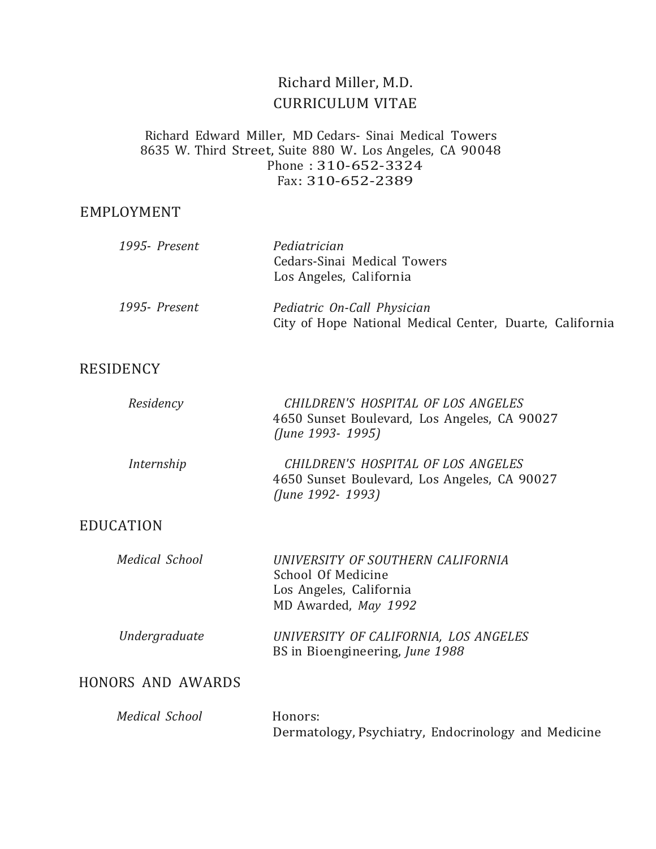# Richard Miller, M.D. CURRICULUM VITAE

#### Richard Edward Miller, MD Cedars- Sinai Medical Towers <sup>8635</sup> W. Third Street, Suite <sup>880</sup> W. Los Angeles, CA <sup>90048</sup> Phone : 310-652-3324 Fax: 310-652-2389

#### EMPLOYMENT

| 1995- Present | Pediatrician<br>Cedars-Sinai Medical Towers<br>Los Angeles, California                  |
|---------------|-----------------------------------------------------------------------------------------|
| 1995- Present | Pediatric On-Call Physician<br>City of Hope National Medical Center, Duarte, California |

## RESIDENCY

| Residency  | CHILDREN'S HOSPITAL OF LOS ANGELES<br>4650 Sunset Boulevard, Los Angeles, CA 90027<br>(June 1993- 1995) |
|------------|---------------------------------------------------------------------------------------------------------|
| Internship | CHILDREN'S HOSPITAL OF LOS ANGELES<br>4650 Sunset Boulevard, Los Angeles, CA 90027<br>(June 1992- 1993) |

## EDUCATION

| <b>Medical School</b> | UNIVERSITY OF SOUTHERN CALIFORNIA<br>School Of Medicine<br>Los Angeles, California<br>MD Awarded, May 1992 |
|-----------------------|------------------------------------------------------------------------------------------------------------|
| Undergraduate         | UNIVERSITY OF CALIFORNIA, LOS ANGELES<br>BS in Bioengineering, June 1988                                   |

# HONORS AND AWARDS

| Medical School | Honors:                                             |  |
|----------------|-----------------------------------------------------|--|
|                | Dermatology, Psychiatry, Endocrinology and Medicine |  |